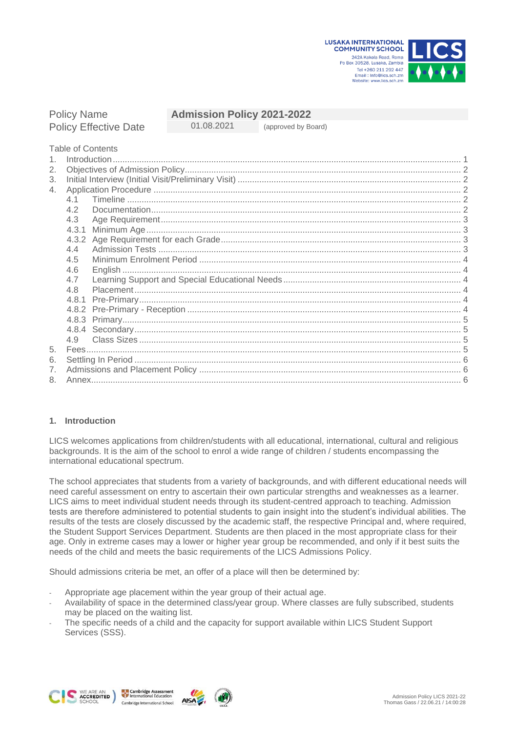**LUSAKA INTERNATIONAL COMMUNITY SCHOOL** 242A Kakola Road, Roma Po Box 30528, Lusaka, Zambia



# Policy Name **Admission Policy 2021-2022**

Policy Effective Date 01.08.2021 (approved by Board)

Table of Contents

| 2.             |       |  |  |
|----------------|-------|--|--|
| 3.             |       |  |  |
| 4.             |       |  |  |
|                | 41    |  |  |
|                | 4.2   |  |  |
|                | 4.3   |  |  |
|                | 4.3.1 |  |  |
|                |       |  |  |
|                | 4.4   |  |  |
|                | 4.5   |  |  |
|                | 4.6   |  |  |
|                | 4.7   |  |  |
|                | 4.8   |  |  |
|                | 4.8.1 |  |  |
|                |       |  |  |
|                |       |  |  |
|                |       |  |  |
|                | 4.9   |  |  |
| 5.<br>6.<br>7. |       |  |  |
|                |       |  |  |
|                |       |  |  |
| 8.             |       |  |  |

## <span id="page-0-0"></span>**1. Introduction**

LICS welcomes applications from children/students with all educational, international, cultural and religious backgrounds. It is the aim of the school to enrol a wide range of children / students encompassing the international educational spectrum.

The school appreciates that students from a variety of backgrounds, and with different educational needs will need careful assessment on entry to ascertain their own particular strengths and weaknesses as a learner. LICS aims to meet individual student needs through its student-centred approach to teaching. Admission tests are therefore administered to potential students to gain insight into the student's individual abilities. The results of the tests are closely discussed by the academic staff, the respective Principal and, where required, the Student Support Services Department. Students are then placed in the most appropriate class for their age. Only in extreme cases may a lower or higher year group be recommended, and only if it best suits the needs of the child and meets the basic requirements of the LICS Admissions Policy.

Should admissions criteria be met, an offer of a place will then be determined by:

Appropriate age placement within the year group of their actual age.

**AISA** 

- Availability of space in the determined class/year group. Where classes are fully subscribed, students may be placed on the waiting list.
- The specific needs of a child and the capacity for support available within LICS Student Support Services (SSS).





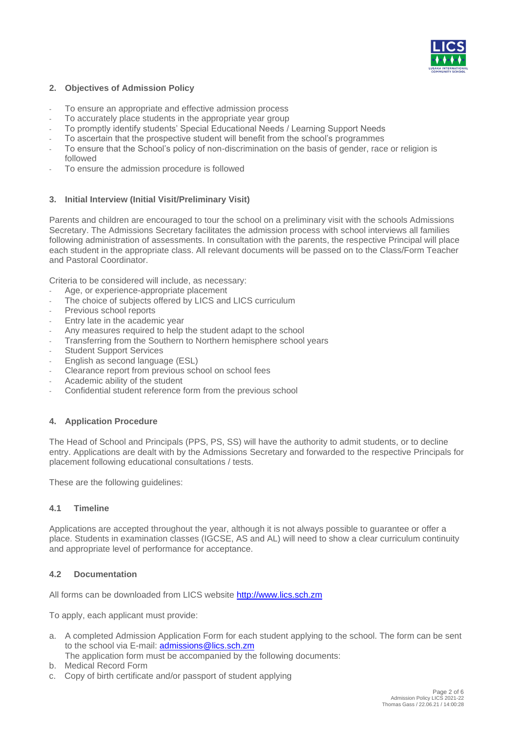

## <span id="page-1-0"></span>**2. Objectives of Admission Policy**

- To ensure an appropriate and effective admission process
- To accurately place students in the appropriate year group
- To promptly identify students' Special Educational Needs / Learning Support Needs
- To ascertain that the prospective student will benefit from the school's programmes
- To ensure that the School's policy of non-discrimination on the basis of gender, race or religion is followed
- <span id="page-1-1"></span>To ensure the admission procedure is followed

## **3. Initial Interview (Initial Visit/Preliminary Visit)**

Parents and children are encouraged to tour the school on a preliminary visit with the schools Admissions Secretary. The Admissions Secretary facilitates the admission process with school interviews all families following administration of assessments. In consultation with the parents, the respective Principal will place each student in the appropriate class. All relevant documents will be passed on to the Class/Form Teacher and Pastoral Coordinator.

Criteria to be considered will include, as necessary:

- Age, or experience-appropriate placement
- The choice of subjects offered by LICS and LICS curriculum
- Previous school reports
- Entry late in the academic year
- Any measures required to help the student adapt to the school
- Transferring from the Southern to Northern hemisphere school years
- Student Support Services
- English as second language (ESL)
- Clearance report from previous school on school fees
- Academic ability of the student
- <span id="page-1-2"></span>Confidential student reference form from the previous school

## **4. Application Procedure**

The Head of School and Principals (PPS, PS, SS) will have the authority to admit students, or to decline entry. Applications are dealt with by the Admissions Secretary and forwarded to the respective Principals for placement following educational consultations / tests.

<span id="page-1-3"></span>These are the following guidelines:

#### **4.1 Timeline**

Applications are accepted throughout the year, although it is not always possible to guarantee or offer a place. Students in examination classes (IGCSE, AS and AL) will need to show a clear curriculum continuity and appropriate level of performance for acceptance.

#### <span id="page-1-4"></span>**4.2 Documentation**

All forms can be downloaded from LICS website [http://www.lics.sch.zm](http://www.lics.sch.zm/)

To apply, each applicant must provide:

- a. A completed Admission Application Form for each student applying to the school. The form can be sent to the school via E-mail: **admissions@lics.sch.zm**
- The application form must be accompanied by the following documents:
- b. Medical Record Form
- c. Copy of birth certificate and/or passport of student applying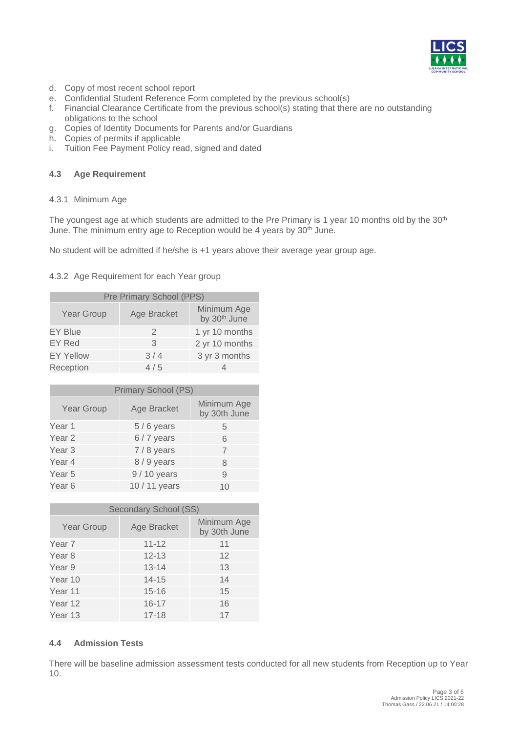

- d. Copy of most recent school report
- e. Confidential Student Reference Form completed by the previous school(s)
- f. Financial Clearance Certificate from the previous school(s) stating that there are no outstanding obligations to the school
- g. Copies of Identity Documents for Parents and/or Guardians
- h. Copies of permits if applicable
- <span id="page-2-0"></span>i. Tuition Fee Payment Policy read, signed and dated

### <span id="page-2-1"></span>**4.3 Age Requirement**

#### 4.3.1 Minimum Age

The youngest age at which students are admitted to the Pre Primary is 1 year 10 months old by the 30<sup>th</sup> June. The minimum entry age to Reception would be 4 years by 30<sup>th</sup> June.

<span id="page-2-2"></span>No student will be admitted if he/she is +1 years above their average year group age.

#### 4.3.2 Age Requirement for each Year group

| Pre Primary School (PPS) |               |                                         |  |
|--------------------------|---------------|-----------------------------------------|--|
| <b>Year Group</b>        | Age Bracket   | Minimum Age<br>by 30 <sup>th</sup> June |  |
| <b>EY Blue</b>           | $\mathcal{P}$ | 1 yr 10 months                          |  |
| EY Red                   | 3             | 2 yr 10 months                          |  |
| <b>EY Yellow</b>         | 3/4           | 3 yr 3 months                           |  |
| Reception                | 4/5           |                                         |  |

| Primary School (PS) |               |                             |  |
|---------------------|---------------|-----------------------------|--|
| Year Group          | Age Bracket   | Minimum Age<br>by 30th June |  |
| Year 1              | $5/6$ years   | 5                           |  |
| Year <sub>2</sub>   | $6/7$ years   | 6                           |  |
| Year <sub>3</sub>   | $7/8$ years   | 7                           |  |
| Year 4              | 8/9 years     | 8                           |  |
| Year 5              | 9 / 10 years  | 9                           |  |
| Year 6              | 10 / 11 years | 10                          |  |

| <b>Secondary School (SS)</b> |             |                             |  |
|------------------------------|-------------|-----------------------------|--|
| Year Group                   | Age Bracket | Minimum Age<br>by 30th June |  |
| Year 7                       | $11 - 12$   | 11                          |  |
| Year 8                       | $12 - 13$   | 12                          |  |
| Year 9                       | $13 - 14$   | 13                          |  |
| Year 10                      | $14 - 15$   | 14                          |  |
| Year 11                      | $15 - 16$   | 15                          |  |
| Year 12                      | $16 - 17$   | 16                          |  |
| Year 13                      | $17 - 18$   | 17                          |  |

## <span id="page-2-3"></span>**4.4 Admission Tests**

There will be baseline admission assessment tests conducted for all new students from Reception up to Year 10.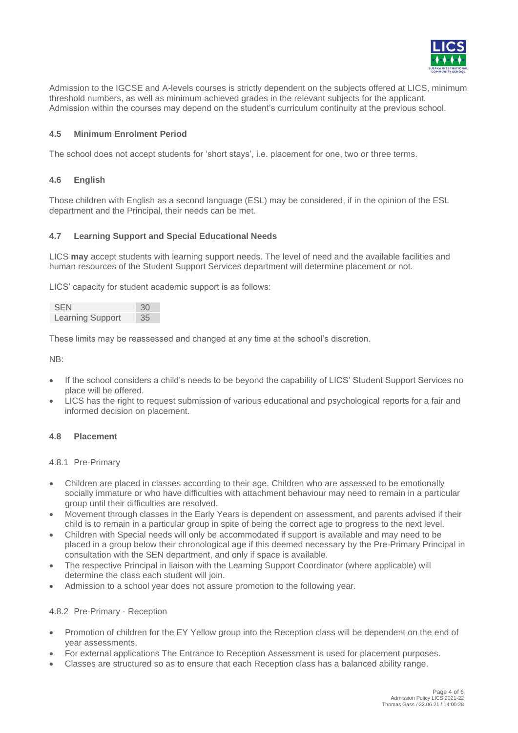

Admission to the IGCSE and A-levels courses is strictly dependent on the subjects offered at LICS, minimum threshold numbers, as well as minimum achieved grades in the relevant subjects for the applicant. Admission within the courses may depend on the student's curriculum continuity at the previous school.

## <span id="page-3-0"></span>**4.5 Minimum Enrolment Period**

<span id="page-3-1"></span>The school does not accept students for 'short stays', i.e. placement for one, two or three terms.

### **4.6 English**

Those children with English as a second language (ESL) may be considered, if in the opinion of the ESL department and the Principal, their needs can be met.

#### <span id="page-3-2"></span>**4.7 Learning Support and Special Educational Needs**

LICS **may** accept students with learning support needs. The level of need and the available facilities and human resources of the Student Support Services department will determine placement or not.

LICS' capacity for student academic support is as follows:

| <b>SEN</b>              | 30 |
|-------------------------|----|
| <b>Learning Support</b> | 35 |

These limits may be reassessed and changed at any time at the school's discretion.

NB:

- If the school considers a child's needs to be beyond the capability of LICS' Student Support Services no place will be offered.
- LICS has the right to request submission of various educational and psychological reports for a fair and informed decision on placement.

## <span id="page-3-4"></span><span id="page-3-3"></span>**4.8 Placement**

4.8.1 Pre-Primary

- Children are placed in classes according to their age. Children who are assessed to be emotionally socially immature or who have difficulties with attachment behaviour may need to remain in a particular group until their difficulties are resolved.
- Movement through classes in the Early Years is dependent on assessment, and parents advised if their child is to remain in a particular group in spite of being the correct age to progress to the next level.
- Children with Special needs will only be accommodated if support is available and may need to be placed in a group below their chronological age if this deemed necessary by the Pre-Primary Principal in consultation with the SEN department, and only if space is available.
- The respective Principal in liaison with the Learning Support Coordinator (where applicable) will determine the class each student will join.
- <span id="page-3-5"></span>• Admission to a school year does not assure promotion to the following year.

#### 4.8.2 Pre-Primary - Reception

- Promotion of children for the EY Yellow group into the Reception class will be dependent on the end of year assessments.
- For external applications The Entrance to Reception Assessment is used for placement purposes.
- Classes are structured so as to ensure that each Reception class has a balanced ability range.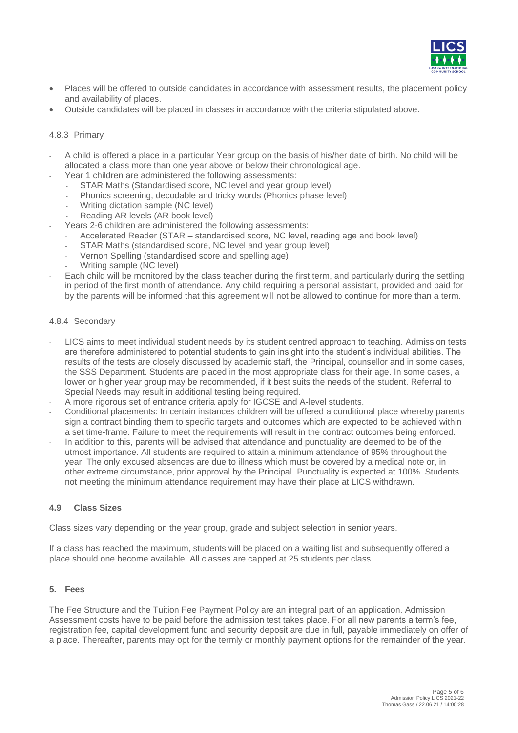

- Places will be offered to outside candidates in accordance with assessment results, the placement policy and availability of places.
- <span id="page-4-0"></span>• Outside candidates will be placed in classes in accordance with the criteria stipulated above.

#### 4.8.3 Primary

- A child is offered a place in a particular Year group on the basis of his/her date of birth. No child will be allocated a class more than one year above or below their chronological age.
- Year 1 children are administered the following assessments:
	- STAR Maths (Standardised score, NC level and year group level)
	- Phonics screening, decodable and tricky words (Phonics phase level)
	- Writing dictation sample (NC level)
	- Reading AR levels (AR book level)
	- Years 2-6 children are administered the following assessments:
	- Accelerated Reader (STAR standardised score, NC level, reading age and book level)
		- STAR Maths (standardised score, NC level and year group level)
		- Vernon Spelling (standardised score and spelling age)
	- Writing sample (NC level)
- Each child will be monitored by the class teacher during the first term, and particularly during the settling in period of the first month of attendance. Any child requiring a personal assistant, provided and paid for by the parents will be informed that this agreement will not be allowed to continue for more than a term.

#### <span id="page-4-1"></span>4.8.4 Secondary

- LICS aims to meet individual student needs by its student centred approach to teaching. Admission tests are therefore administered to potential students to gain insight into the student's individual abilities. The results of the tests are closely discussed by academic staff, the Principal, counsellor and in some cases, the SSS Department. Students are placed in the most appropriate class for their age. In some cases, a lower or higher year group may be recommended, if it best suits the needs of the student. Referral to Special Needs may result in additional testing being required.
- A more rigorous set of entrance criteria apply for IGCSE and A-level students.
- Conditional placements: In certain instances children will be offered a conditional place whereby parents sign a contract binding them to specific targets and outcomes which are expected to be achieved within a set time-frame. Failure to meet the requirements will result in the contract outcomes being enforced.
- In addition to this, parents will be advised that attendance and punctuality are deemed to be of the utmost importance. All students are required to attain a minimum attendance of 95% throughout the year. The only excused absences are due to illness which must be covered by a medical note or, in other extreme circumstance, prior approval by the Principal. Punctuality is expected at 100%. Students not meeting the minimum attendance requirement may have their place at LICS withdrawn.

#### <span id="page-4-2"></span>**4.9 Class Sizes**

Class sizes vary depending on the year group, grade and subject selection in senior years.

<span id="page-4-3"></span>If a class has reached the maximum, students will be placed on a waiting list and subsequently offered a place should one become available. All classes are capped at 25 students per class.

#### **5. Fees**

The Fee Structure and the Tuition Fee Payment Policy are an integral part of an application. Admission Assessment costs have to be paid before the admission test takes place. For all new parents a term's fee, registration fee, capital development fund and security deposit are due in full, payable immediately on offer of a place. Thereafter, parents may opt for the termly or monthly payment options for the remainder of the year.